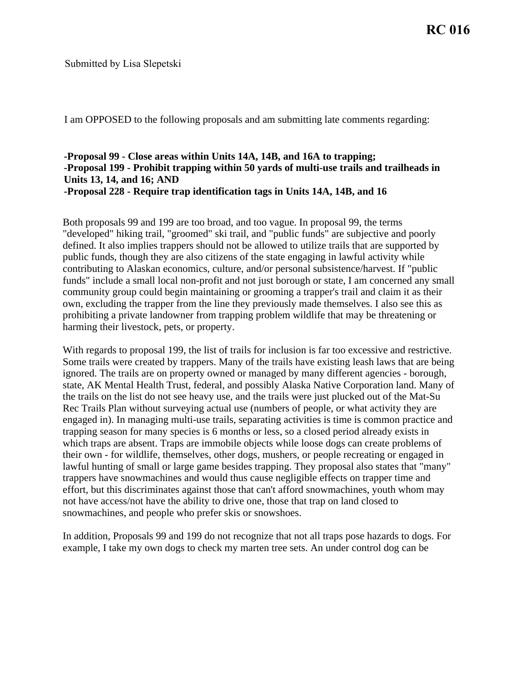Submitted by Lisa Slepetski

I am OPPOSED to the following proposals and am submitting late comments regarding:

## **-Proposal 99 - Close areas within Units 14A, 14B, and 16A to trapping; -Proposal 199 - Prohibit trapping within 50 yards of multi-use trails and trailheads in Units 13, 14, and 16; AND -Proposal 228 - Require trap identification tags in Units 14A, 14B, and 16**

Both proposals 99 and 199 are too broad, and too vague. In proposal 99, the terms "developed" hiking trail, "groomed" ski trail, and "public funds" are subjective and poorly defined. It also implies trappers should not be allowed to utilize trails that are supported by public funds, though they are also citizens of the state engaging in lawful activity while contributing to Alaskan economics, culture, and/or personal subsistence/harvest. If "public funds" include a small local non-profit and not just borough or state, I am concerned any small community group could begin maintaining or grooming a trapper's trail and claim it as their own, excluding the trapper from the line they previously made themselves. I also see this as prohibiting a private landowner from trapping problem wildlife that may be threatening or harming their livestock, pets, or property.

With regards to proposal 199, the list of trails for inclusion is far too excessive and restrictive. Some trails were created by trappers. Many of the trails have existing leash laws that are being ignored. The trails are on property owned or managed by many different agencies - borough, state, AK Mental Health Trust, federal, and possibly Alaska Native Corporation land. Many of the trails on the list do not see heavy use, and the trails were just plucked out of the Mat-Su Rec Trails Plan without surveying actual use (numbers of people, or what activity they are engaged in). In managing multi-use trails, separating activities is time is common practice and trapping season for many species is 6 months or less, so a closed period already exists in which traps are absent. Traps are immobile objects while loose dogs can create problems of their own - for wildlife, themselves, other dogs, mushers, or people recreating or engaged in lawful hunting of small or large game besides trapping. They proposal also states that "many" trappers have snowmachines and would thus cause negligible effects on trapper time and effort, but this discriminates against those that can't afford snowmachines, youth whom may not have access/not have the ability to drive one, those that trap on land closed to snowmachines, and people who prefer skis or snowshoes.

In addition, Proposals 99 and 199 do not recognize that not all traps pose hazards to dogs. For example, I take my own dogs to check my marten tree sets. An under control dog can be